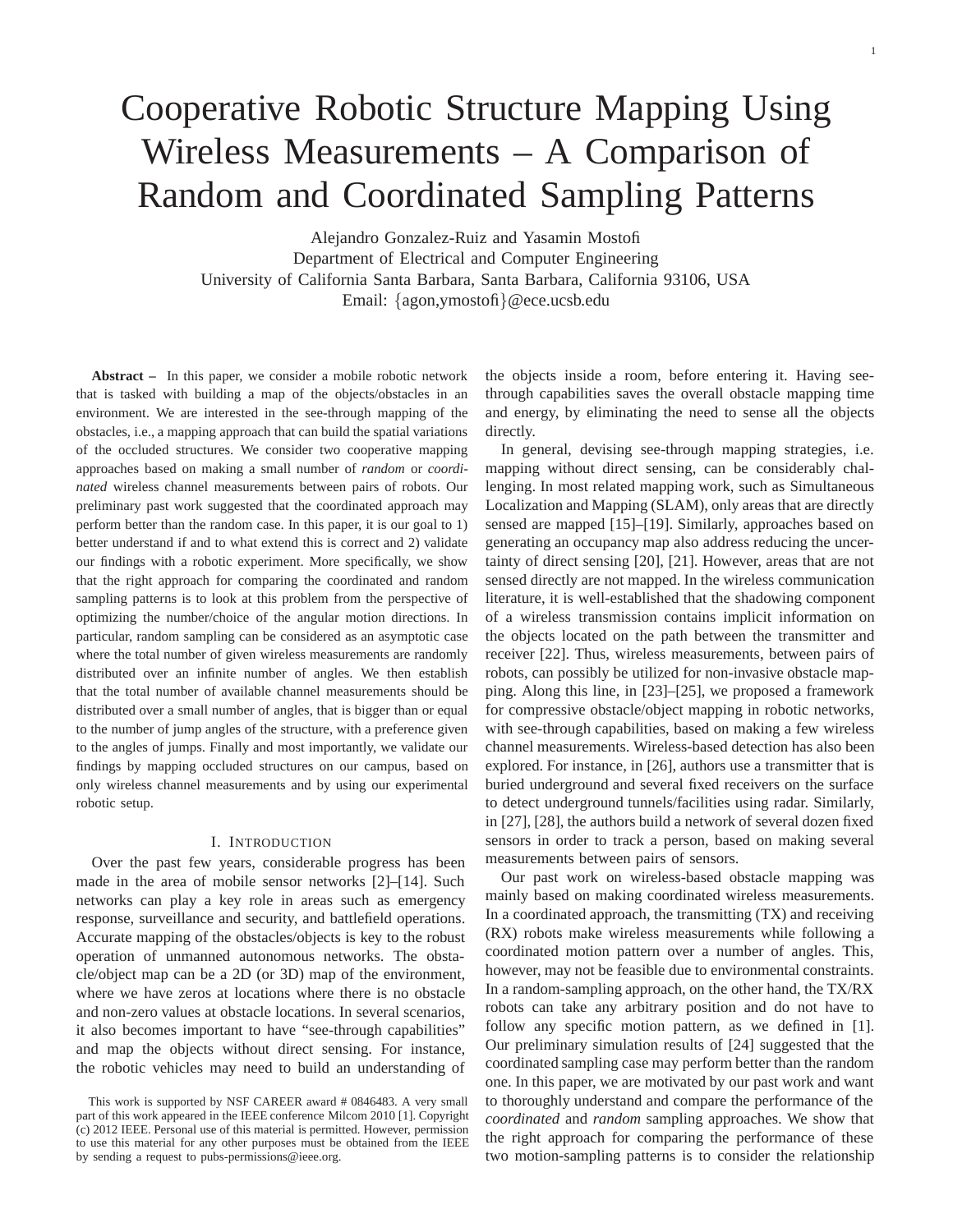# Cooperative Robotic Structure Mapping Using Wireless Measurements – A Comparison of Random and Coordinated Sampling Patterns

Alejandro Gonzalez-Ruiz and Yasamin Mostofi Department of Electrical and Computer Engineering University of California Santa Barbara, Santa Barbara, California 93106, USA Email: {agon,ymostofi}@ece.ucsb.edu

**Abstract –** In this paper, we consider a mobile robotic network that is tasked with building a map of the objects/obstacles in an environment. We are interested in the see-through mapping of the obstacles, i.e., a mapping approach that can build the spatial variations of the occluded structures. We consider two cooperative mapping approaches based on making a small number of *random* or *coordinated* wireless channel measurements between pairs of robots. Our preliminary past work suggested that the coordinated approach may perform better than the random case. In this paper, it is our goal to 1) better understand if and to what extend this is correct and 2) validate our findings with a robotic experiment. More specifically, we show that the right approach for comparing the coordinated and random sampling patterns is to look at this problem from the perspective of optimizing the number/choice of the angular motion directions. In particular, random sampling can be considered as an asymptotic case where the total number of given wireless measurements are randomly distributed over an infinite number of angles. We then establish that the total number of available channel measurements should be distributed over a small number of angles, that is bigger than or equal to the number of jump angles of the structure, with a preference given to the angles of jumps. Finally and most importantly, we validate our findings by mapping occluded structures on our campus, based on only wireless channel measurements and by using our experimental robotic setup.

#### I. INTRODUCTION

Over the past few years, considerable progress has been made in the area of mobile sensor networks [2]–[14]. Such networks can play a key role in areas such as emergency response, surveillance and security, and battlefield operations. Accurate mapping of the obstacles/objects is key to the robust operation of unmanned autonomous networks. The obstacle/object map can be a 2D (or 3D) map of the environment, where we have zeros at locations where there is no obstacle and non-zero values at obstacle locations. In several scenarios, it also becomes important to have "see-through capabilities" and map the objects without direct sensing. For instance, the robotic vehicles may need to build an understanding of

the objects inside a room, before entering it. Having seethrough capabilities saves the overall obstacle mapping time and energy, by eliminating the need to sense all the objects directly.

In general, devising see-through mapping strategies, i.e. mapping without direct sensing, can be considerably challenging. In most related mapping work, such as Simultaneous Localization and Mapping (SLAM), only areas that are directly sensed are mapped [15]–[19]. Similarly, approaches based on generating an occupancy map also address reducing the uncertainty of direct sensing [20], [21]. However, areas that are not sensed directly are not mapped. In the wireless communication literature, it is well-established that the shadowing component of a wireless transmission contains implicit information on the objects located on the path between the transmitter and receiver [22]. Thus, wireless measurements, between pairs of robots, can possibly be utilized for non-invasive obstacle mapping. Along this line, in [23]–[25], we proposed a framework for compressive obstacle/object mapping in robotic networks, with see-through capabilities, based on making a few wireless channel measurements. Wireless-based detection has also been explored. For instance, in [26], authors use a transmitter that is buried underground and several fixed receivers on the surface to detect underground tunnels/facilities using radar. Similarly, in [27], [28], the authors build a network of several dozen fixed sensors in order to track a person, based on making several measurements between pairs of sensors.

Our past work on wireless-based obstacle mapping was mainly based on making coordinated wireless measurements. In a coordinated approach, the transmitting (TX) and receiving (RX) robots make wireless measurements while following a coordinated motion pattern over a number of angles. This, however, may not be feasible due to environmental constraints. In a random-sampling approach, on the other hand, the TX/RX robots can take any arbitrary position and do not have to follow any specific motion pattern, as we defined in [1]. Our preliminary simulation results of [24] suggested that the coordinated sampling case may perform better than the random one. In this paper, we are motivated by our past work and want to thoroughly understand and compare the performance of the *coordinated* and *random* sampling approaches. We show that the right approach for comparing the performance of these two motion-sampling patterns is to consider the relationship

This work is supported by NSF CAREER award # 0846483. A very small part of this work appeared in the IEEE conference Milcom 2010 [1]. Copyright (c) 2012 IEEE. Personal use of this material is permitted. However, permission to use this material for any other purposes must be obtained from the IEEE by sending a request to pubs-permissions@ieee.org.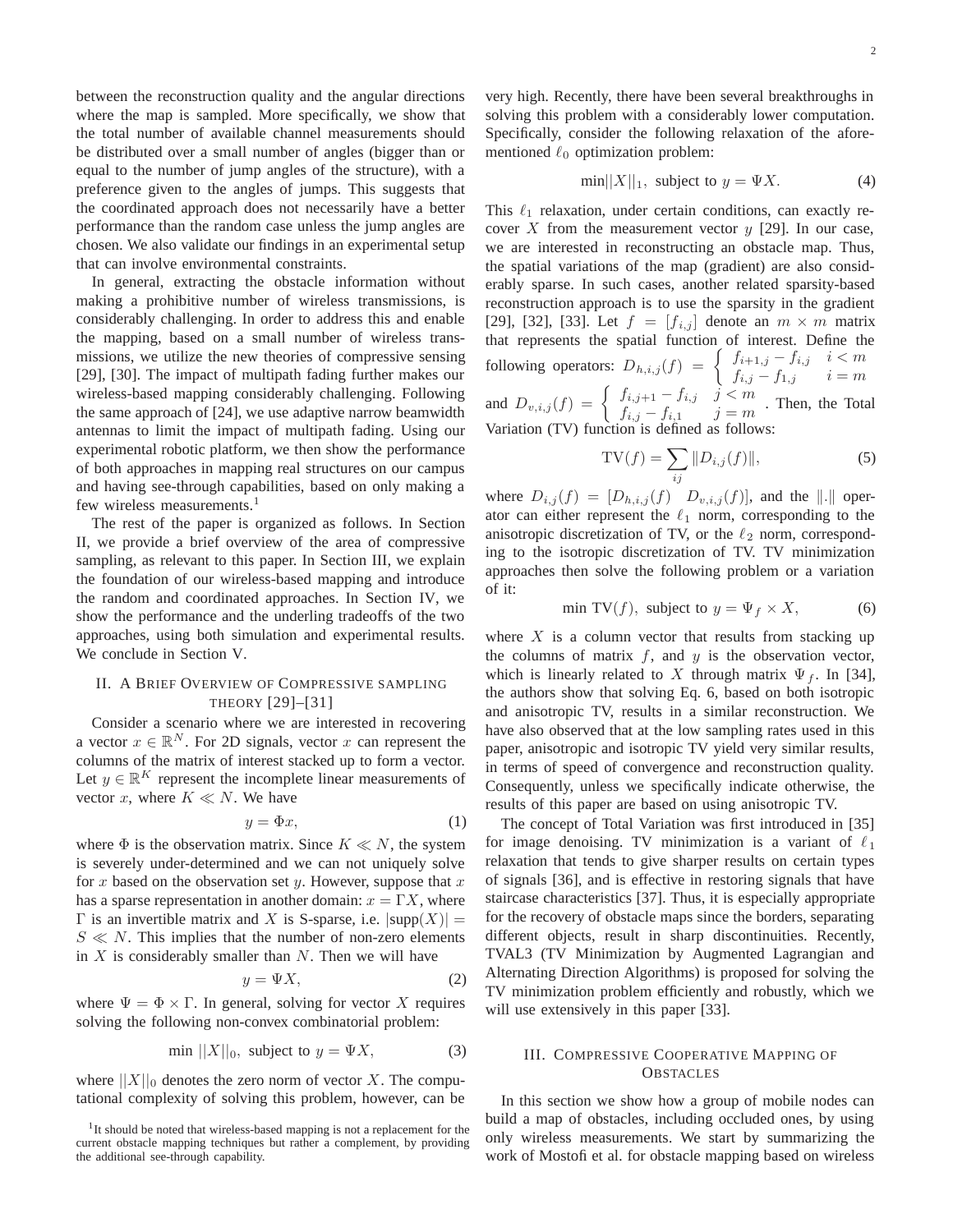between the reconstruction quality and the angular directions where the map is sampled. More specifically, we show that the total number of available channel measurements should be distributed over a small number of angles (bigger than or equal to the number of jump angles of the structure), with a preference given to the angles of jumps. This suggests that the coordinated approach does not necessarily have a better performance than the random case unless the jump angles are chosen. We also validate our findings in an experimental setup that can involve environmental constraints.

In general, extracting the obstacle information without making a prohibitive number of wireless transmissions, is considerably challenging. In order to address this and enable the mapping, based on a small number of wireless transmissions, we utilize the new theories of compressive sensing [29], [30]. The impact of multipath fading further makes our wireless-based mapping considerably challenging. Following the same approach of [24], we use adaptive narrow beamwidth antennas to limit the impact of multipath fading. Using our experimental robotic platform, we then show the performance of both approaches in mapping real structures on our campus and having see-through capabilities, based on only making a few wireless measurements.<sup>1</sup>

The rest of the paper is organized as follows. In Section II, we provide a brief overview of the area of compressive sampling, as relevant to this paper. In Section III, we explain the foundation of our wireless-based mapping and introduce the random and coordinated approaches. In Section IV, we show the performance and the underling tradeoffs of the two approaches, using both simulation and experimental results. We conclude in Section V.

# II. A BRIEF OVERVIEW OF COMPRESSIVE SAMPLING THEORY [29]–[31]

Consider a scenario where we are interested in recovering a vector  $x \in \mathbb{R}^N$ . For 2D signals, vector x can represent the columns of the matrix of interest stacked up to form a vector. Let  $y \in \mathbb{R}^K$  represent the incomplete linear measurements of vector x, where  $K \ll N$ . We have

$$
y = \Phi x,\tag{1}
$$

where  $\Phi$  is the observation matrix. Since  $K \ll N$ , the system<br>is severely under-determined and we can not uniquely solve is severely under-determined and we can not uniquely solve for x based on the observation set y. However, suppose that  $x$ has a sparse representation in another domain:  $x = \Gamma X$ , where  $\Gamma$  is an invertible matrix and X is S-sparse, i.e.  $|\text{supp}(X)| =$  $S \ll N$ . This implies that the number of non-zero elements in  $X$  is considerably smaller than  $N$ . Then we will have

$$
y = \Psi X,\tag{2}
$$

where  $\Psi = \Phi \times \Gamma$ . In general, solving for vector X requires solving the following non-convex combinatorial problem: solving the following non-convex combinatorial problem:

$$
\min ||X||_0, \text{ subject to } y = \Psi X,\tag{3}
$$

where  $||X||_0$  denotes the zero norm of vector X. The computational complexity of solving this problem, however, can be very high. Recently, there have been several breakthroughs in solving this problem with a considerably lower computation. Specifically, consider the following relaxation of the aforementioned  $\ell_0$  optimization problem:

$$
\min||X||_1, \text{ subject to } y = \Psi X. \tag{4}
$$

This  $\ell_1$  relaxation, under certain conditions, can exactly recover X from the measurement vector  $y$  [29]. In our case, we are interested in reconstructing an obstacle map. Thus, the spatial variations of the map (gradient) are also considerably sparse. In such cases, another related sparsity-based reconstruction approach is to use the sparsity in the gradient [29], [32], [33]. Let  $f = [f_{i,j}]$  denote an  $m \times m$  matrix that represents the spatial function of interest. Define the following operators:  $D_{h,i,j}(f) = \begin{cases} f_{i+1,j} - f_{i,j} & i < m \\ f_{i,j} - f_{1,j} & i = m \end{cases}$  $f_{i,j} - f_{1,j}$   $i = m$ and  $D_{v,i,j}(f) = \begin{cases} f_{i,j+1} - f_{i,j} & j < m \\ f_{i,j} - f_{i,1} & j = m \end{cases}$  $f_{i,j} - f_{i,1}$   $j \leq m$ . Then, the Total<br>
on is defined as follows: Variation (TV) function is defined as follows:

$$
TV(f) = \sum_{ij} ||D_{i,j}(f)||,
$$
 (5)

where  $D_{i,j}(f)=[D_{h,i,j} (f) D_{v,i,j} (f)]$ , and the  $||.||$  operator can either represent the  $\ell_1$  norm, corresponding to the anisotropic discretization of TV, or the  $\ell_2$  norm, corresponding to the isotropic discretization of TV. TV minimization approaches then solve the following problem or a variation of it:

$$
\min \mathrm{TV}(f), \text{ subject to } y = \Psi_f \times X, \tag{6}
$$

where  $X$  is a column vector that results from stacking up the columns of matrix  $f$ , and  $y$  is the observation vector, which is linearly related to X through matrix  $\Psi_f$ . In [34], the authors show that solving Eq. 6, based on both isotropic and anisotropic TV, results in a similar reconstruction. We have also observed that at the low sampling rates used in this paper, anisotropic and isotropic TV yield very similar results, in terms of speed of convergence and reconstruction quality. Consequently, unless we specifically indicate otherwise, the results of this paper are based on using anisotropic TV.

The concept of Total Variation was first introduced in [35] for image denoising. TV minimization is a variant of  $\ell_1$ relaxation that tends to give sharper results on certain types of signals [36], and is effective in restoring signals that have staircase characteristics [37]. Thus, it is especially appropriate for the recovery of obstacle maps since the borders, separating different objects, result in sharp discontinuities. Recently, TVAL3 (TV Minimization by Augmented Lagrangian and Alternating Direction Algorithms) is proposed for solving the TV minimization problem efficiently and robustly, which we will use extensively in this paper [33].

### III. COMPRESSIVE COOPERATIVE MAPPING OF **OBSTACLES**

In this section we show how a group of mobile nodes can build a map of obstacles, including occluded ones, by using only wireless measurements. We start by summarizing the work of Mostofi et al. for obstacle mapping based on wireless

<sup>&</sup>lt;sup>1</sup>It should be noted that wireless-based mapping is not a replacement for the current obstacle mapping techniques but rather a complement, by providing the additional see-through capability.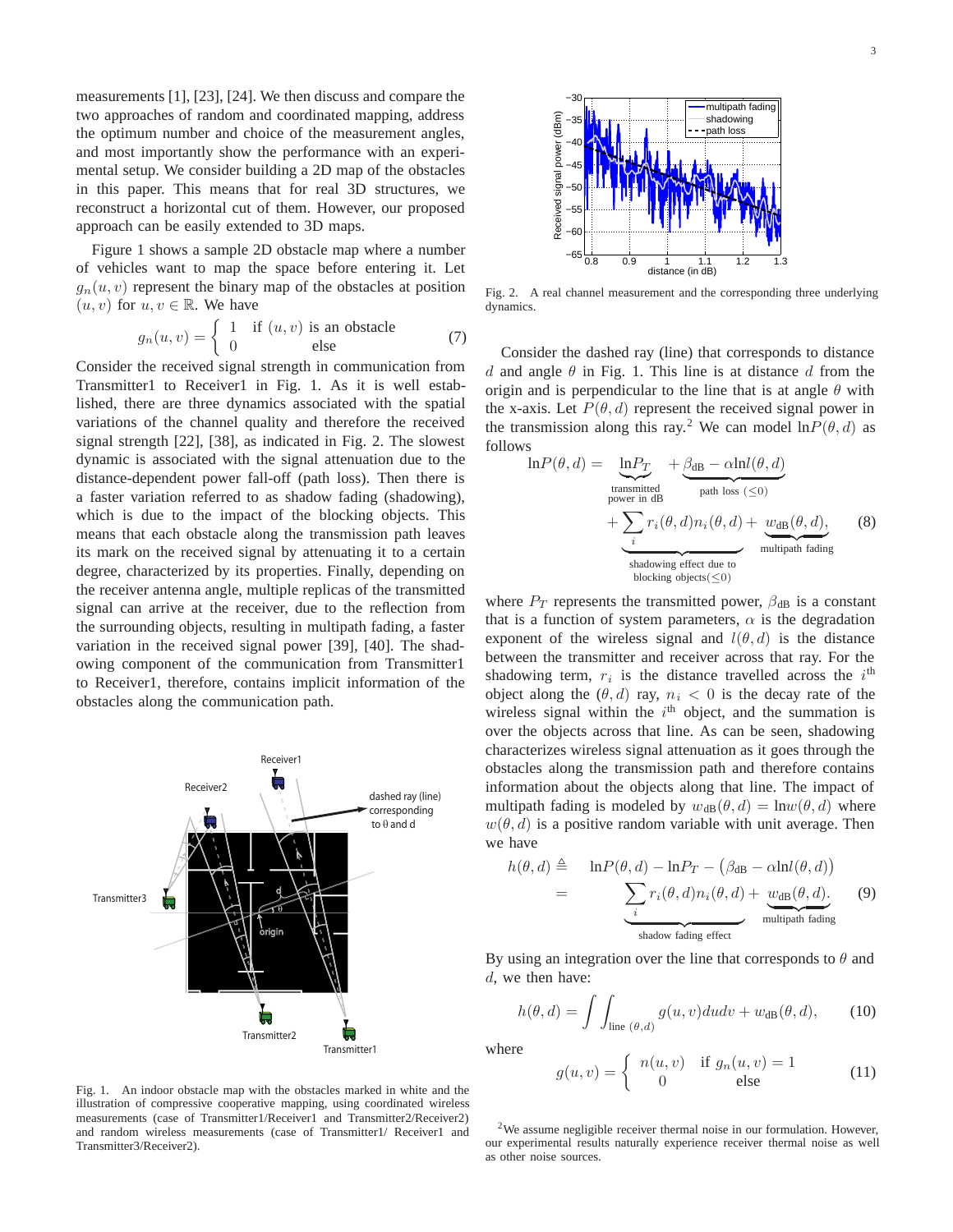measurements [1], [23], [24]. We then discuss and compare the two approaches of random and coordinated mapping, address the optimum number and choice of the measurement angles, and most importantly show the performance with an experimental setup. We consider building a 2D map of the obstacles in this paper. This means that for real 3D structures, we reconstruct a horizontal cut of them. However, our proposed approach can be easily extended to 3D maps.

Figure 1 shows a sample 2D obstacle map where a number of vehicles want to map the space before entering it. Let  $g_n(u, v)$  represent the binary map of the obstacles at position  $(u, v)$  for  $u, v \in \mathbb{R}$ . We have

$$
g_n(u, v) = \begin{cases} 1 & \text{if } (u, v) \text{ is an obstacle} \\ 0 & \text{else} \end{cases}
$$
 (7)  
Consider the received signal strength in communication from

Transmitter1 to Receiver1 in Fig. 1. As it is well established, there are three dynamics associated with the spatial variations of the channel quality and therefore the received signal strength [22], [38], as indicated in Fig. 2. The slowest dynamic is associated with the signal attenuation due to the distance-dependent power fall-off (path loss). Then there is a faster variation referred to as shadow fading (shadowing), which is due to the impact of the blocking objects. This means that each obstacle along the transmission path leaves its mark on the received signal by attenuating it to a certain degree, characterized by its properties. Finally, depending on the receiver antenna angle, multiple replicas of the transmitted signal can arrive at the receiver, due to the reflection from the surrounding objects, resulting in multipath fading, a faster variation in the received signal power [39], [40]. The shadowing component of the communication from Transmitter1 to Receiver1, therefore, contains implicit information of the obstacles along the communication path.



Fig. 1. An indoor obstacle map with the obstacles marked in white and the illustration of compressive cooperative mapping, using coordinated wireless measurements (case of Transmitter1/Receiver1 and Transmitter2/Receiver2) and random wireless measurements (case of Transmitter1/ Receiver1 and Transmitter3/Receiver2).



Fig. 2. A real channel measurement and the corresponding three underlying dynamics.

Consider the dashed ray (line) that corresponds to distance d and angle  $\theta$  in Fig. 1. This line is at distance d from the origin and is perpendicular to the line that is at angle  $\theta$  with the x-axis. Let  $P(\theta, d)$  represent the received signal power in the transmission along this ray.<sup>2</sup> We can model  $\ln P(\theta, d)$  as follows

$$
\ln P(\theta, d) = \underbrace{\ln P_T}_{\text{transmitted}} + \underbrace{\beta_{\text{dB}} - \alpha \ln l(\theta, d)}_{\text{path loss}} \underbrace{(\leq 0)}_{\leq 0} + \underbrace{\sum_{i} r_i(\theta, d) n_i(\theta, d)}_{\text{shadowing effect due to} + \text{multipath fading}} \quad (8)
$$

where  $P_T$  represents the transmitted power,  $\beta_{dB}$  is a constant that is a function of system parameters,  $\alpha$  is the degradation exponent of the wireless signal and  $l(\theta, d)$  is the distance between the transmitter and receiver across that ray. For the shadowing term,  $r_i$  is the distance travelled across the  $i<sup>th</sup>$ object along the  $(\theta, d)$  ray,  $n_i < 0$  is the decay rate of the wireless signal within the  $i<sup>th</sup>$  object, and the summation is over the objects across that line. As can be seen, shadowing characterizes wireless signal attenuation as it goes through the obstacles along the transmission path and therefore contains information about the objects along that line. The impact of multipath fading is modeled by  $w_{dB}(\theta, d) = \ln w(\theta, d)$  where  $w(\theta, d)$  is a positive random variable with unit average. Then we have

$$
h(\theta, d) \triangleq \ln P(\theta, d) - \ln P_T - (\beta_{\text{dB}} - \alpha \ln l(\theta, d))
$$
  
= 
$$
\sum_{i} r_i(\theta, d) n_i(\theta, d) + \underbrace{w_{\text{dB}}(\theta, d)}_{\text{multipath fading}}
$$
 (9)

By using an integration over the line that corresponds to  $\theta$  and d, we then have:

$$
h(\theta, d) = \int \int_{\text{line }(\theta, d)} g(u, v) du dv + w_{\text{dB}}(\theta, d), \qquad (10)
$$

where

$$
g(u,v) = \begin{cases} n(u,v) & \text{if } g_n(u,v) = 1 \\ 0 & \text{else} \end{cases}
$$
 (11)

2We assume negligible receiver thermal noise in our formulation. However, our experimental results naturally experience receiver thermal noise as well as other noise sources.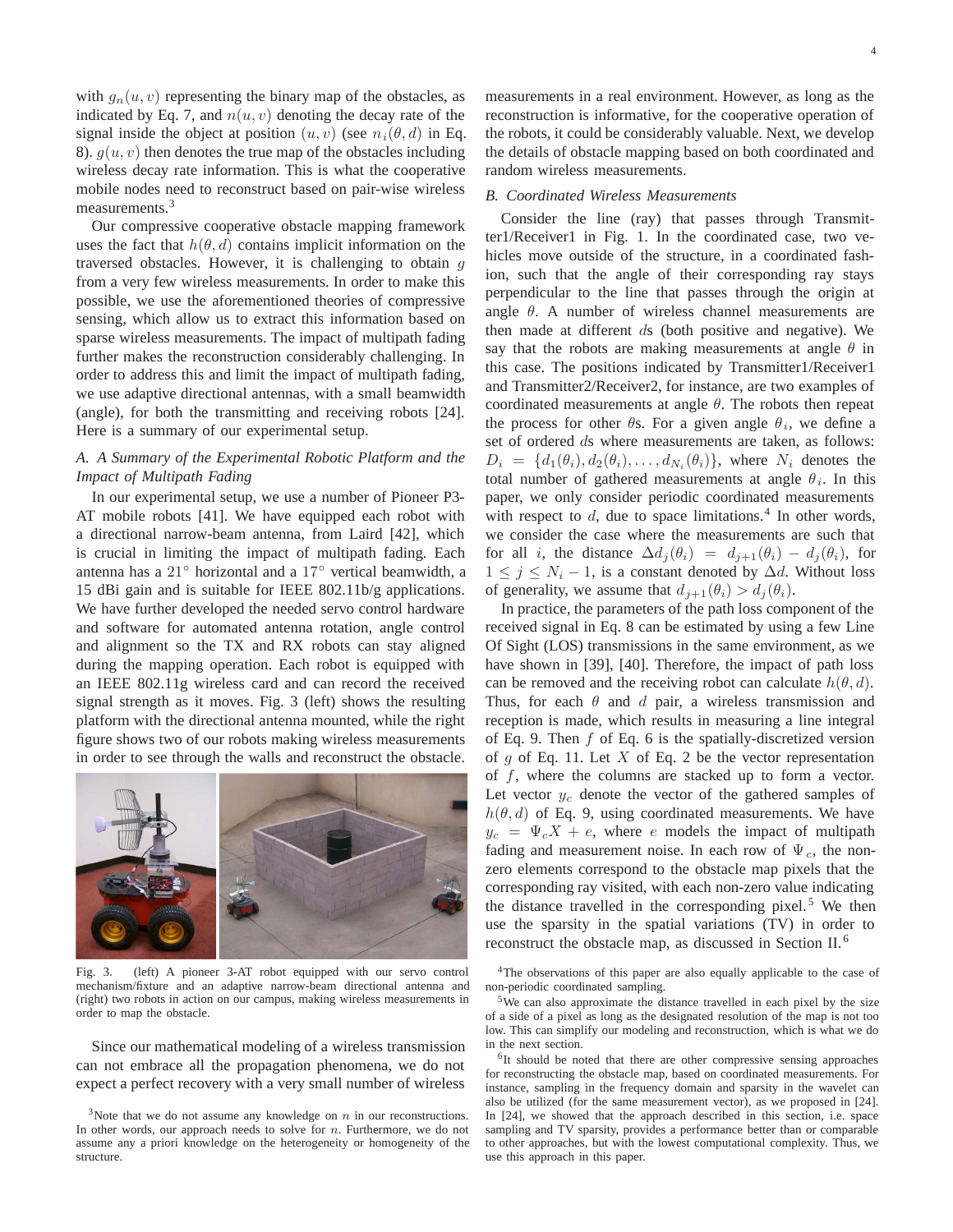with  $g_n(u, v)$  representing the binary map of the obstacles, as indicated by Eq. 7, and  $n(u, v)$  denoting the decay rate of the signal inside the object at position  $(u, v)$  (see  $n_i(\theta, d)$  in Eq. 8).  $g(u, v)$  then denotes the true map of the obstacles including wireless decay rate information. This is what the cooperative mobile nodes need to reconstruct based on pair-wise wireless measurements.<sup>3</sup>

Our compressive cooperative obstacle mapping framework uses the fact that  $h(\theta, d)$  contains implicit information on the traversed obstacles. However, it is challenging to obtain  $g$ from a very few wireless measurements. In order to make this possible, we use the aforementioned theories of compressive sensing, which allow us to extract this information based on sparse wireless measurements. The impact of multipath fading further makes the reconstruction considerably challenging. In order to address this and limit the impact of multipath fading, we use adaptive directional antennas, with a small beamwidth (angle), for both the transmitting and receiving robots [24]. Here is a summary of our experimental setup.

# *A. A Summary of the Experimental Robotic Platform and the Impact of Multipath Fading*

In our experimental setup, we use a number of Pioneer P3- AT mobile robots [41]. We have equipped each robot with a directional narrow-beam antenna, from Laird [42], which is crucial in limiting the impact of multipath fading. Each antenna has a 21◦ horizontal and a <sup>17</sup>◦ vertical beamwidth, a 15 dBi gain and is suitable for IEEE 802.11b/g applications. We have further developed the needed servo control hardware and software for automated antenna rotation, angle control and alignment so the TX and RX robots can stay aligned during the mapping operation. Each robot is equipped with an IEEE 802.11g wireless card and can record the received signal strength as it moves. Fig. 3 (left) shows the resulting platform with the directional antenna mounted, while the right figure shows two of our robots making wireless measurements in order to see through the walls and reconstruct the obstacle.



Fig. 3. (left) A pioneer 3-AT robot equipped with our servo control mechanism/fixture and an adaptive narrow-beam directional antenna and (right) two robots in action on our campus, making wireless measurements in order to map the obstacle.

Since our mathematical modeling of a wireless transmission can not embrace all the propagation phenomena, we do not expect a perfect recovery with a very small number of wireless

measurements in a real environment. However, as long as the reconstruction is informative, for the cooperative operation of the robots, it could be considerably valuable. Next, we develop the details of obstacle mapping based on both coordinated and random wireless measurements.

#### *B. Coordinated Wireless Measurements*

Consider the line (ray) that passes through Transmitter1/Receiver1 in Fig. 1. In the coordinated case, two vehicles move outside of the structure, in a coordinated fashion, such that the angle of their corresponding ray stays perpendicular to the line that passes through the origin at angle  $\theta$ . A number of wireless channel measurements are then made at different  $ds$  (both positive and negative). We say that the robots are making measurements at angle  $\theta$  in this case. The positions indicated by Transmitter1/Receiver1 and Transmitter2/Receiver2, for instance, are two examples of coordinated measurements at angle  $\theta$ . The robots then repeat the process for other  $\theta$ s. For a given angle  $\theta_i$ , we define a set of ordered ds where measurements are taken, as follows:  $D_i = \{d_1(\theta_i), d_2(\theta_i), \ldots, d_{N_i}(\theta_i)\}\$ , where  $N_i$  denotes the total number of gathered measurements at angle  $\theta_i$ . In this paper, we only consider periodic coordinated measurements with respect to  $d$ , due to space limitations.<sup>4</sup> In other words, we consider the case where the measurements are such that for all i, the distance  $\Delta d_i(\theta_i) = d_{i+1}(\theta_i) - d_i(\theta_i)$ , for  $1 \leq j \leq N_i - 1$ , is a constant denoted by  $\Delta d$ . Without loss of generality, we assume that  $d_{i+1}(\theta_i) > d_i(\theta_i)$ .

In practice, the parameters of the path loss component of the received signal in Eq. 8 can be estimated by using a few Line Of Sight (LOS) transmissions in the same environment, as we have shown in [39], [40]. Therefore, the impact of path loss can be removed and the receiving robot can calculate  $h(\theta, d)$ . Thus, for each  $\theta$  and  $d$  pair, a wireless transmission and reception is made, which results in measuring a line integral of Eq. 9. Then  $f$  of Eq. 6 is the spatially-discretized version of  $g$  of Eq. 11. Let  $X$  of Eq. 2 be the vector representation of  $f$ , where the columns are stacked up to form a vector. Let vector  $y_c$  denote the vector of the gathered samples of  $h(\theta, d)$  of Eq. 9, using coordinated measurements. We have  $y_c = \Psi_c X + e$ , where e models the impact of multipath fading and measurement noise. In each row of  $\Psi_c$ , the nonzero elements correspond to the obstacle map pixels that the corresponding ray visited, with each non-zero value indicating the distance travelled in the corresponding pixel.<sup>5</sup> We then use the sparsity in the spatial variations (TV) in order to reconstruct the obstacle map, as discussed in Section II. <sup>6</sup>

4The observations of this paper are also equally applicable to the case of non-periodic coordinated sampling.

<sup>&</sup>lt;sup>3</sup>Note that we do not assume any knowledge on  $n$  in our reconstructions. In other words, our approach needs to solve for  $n$ . Furthermore, we do not assume any a priori knowledge on the heterogeneity or homogeneity of the structure.

<sup>5</sup>We can also approximate the distance travelled in each pixel by the size of a side of a pixel as long as the designated resolution of the map is not too low. This can simplify our modeling and reconstruction, which is what we do in the next section.

<sup>&</sup>lt;sup>6</sup>It should be noted that there are other compressive sensing approaches for reconstructing the obstacle map, based on coordinated measurements. For instance, sampling in the frequency domain and sparsity in the wavelet can also be utilized (for the same measurement vector), as we proposed in [24]. In [24], we showed that the approach described in this section, i.e. space sampling and TV sparsity, provides a performance better than or comparable to other approaches, but with the lowest computational complexity. Thus, we use this approach in this paper.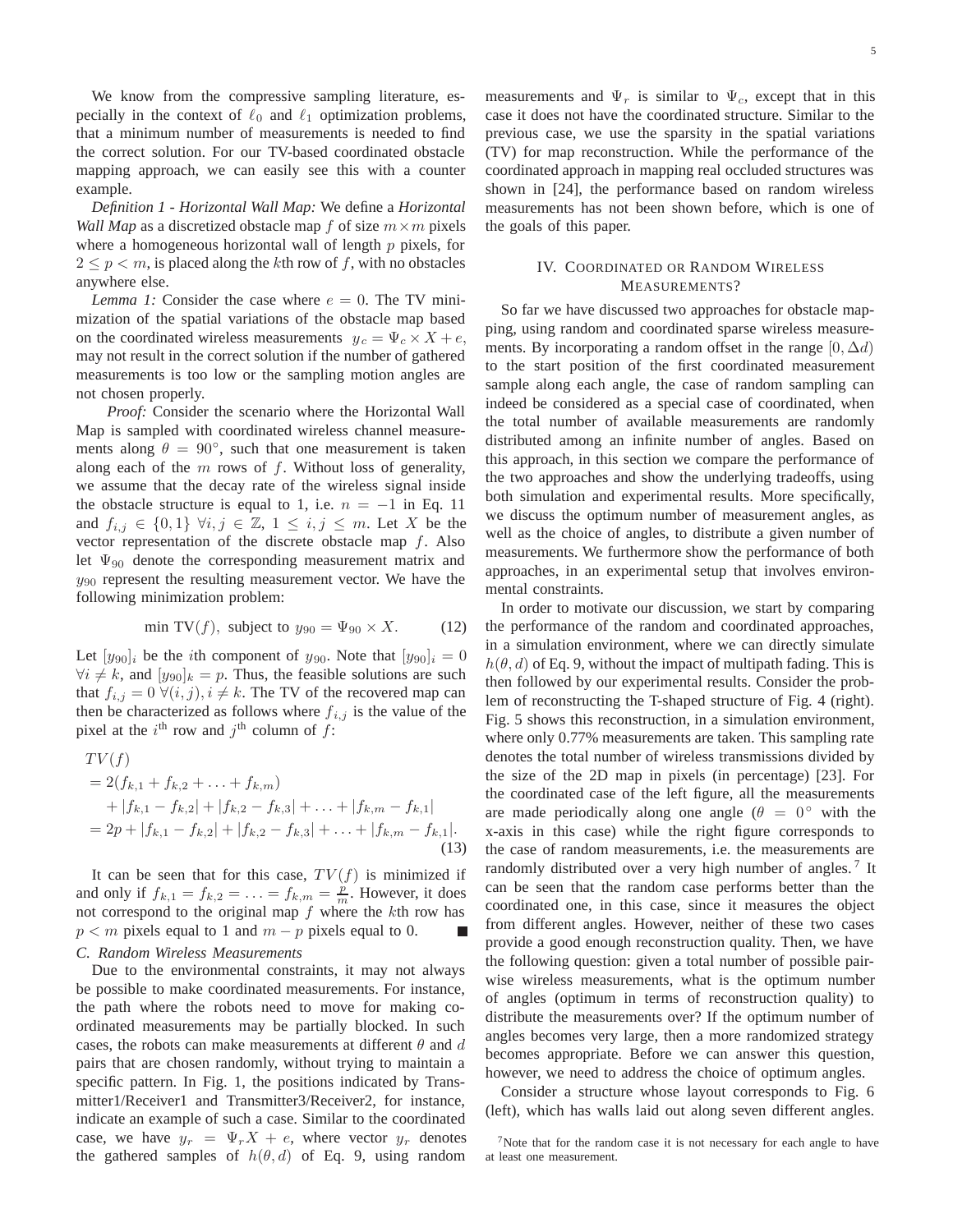We know from the compressive sampling literature, especially in the context of  $\ell_0$  and  $\ell_1$  optimization problems, that a minimum number of measurements is needed to find the correct solution. For our TV-based coordinated obstacle mapping approach, we can easily see this with a counter example.

*Definition 1 - Horizontal Wall Map:* We define a *Horizontal Wall Map* as a discretized obstacle map f of size  $m \times m$  pixels where a homogeneous horizontal wall of length  $p$  pixels, for  $2 \leq p \leq m$ , is placed along the kth row of f, with no obstacles anywhere else.

*Lemma 1:* Consider the case where  $e = 0$ . The TV minimization of the spatial variations of the obstacle map based on the coordinated wireless measurements  $y_c = \Psi_c \times X + e$ , may not result in the correct solution if the number of gathered measurements is too low or the sampling motion angles are not chosen properly.

*Proof:* Consider the scenario where the Horizontal Wall Map is sampled with coordinated wireless channel measurements along  $\theta = 90^{\circ}$ , such that one measurement is taken along each of the  $m$  rows of  $f$ . Without loss of generality, we assume that the decay rate of the wireless signal inside the obstacle structure is equal to 1, i.e.  $n = -1$  in Eq. 11 and  $f_{i,j} \in \{0,1\}$   $\forall i,j \in \mathbb{Z}, 1 \leq i,j \leq m$ . Let X be the vector representation of the discrete obstacle map  $f$ . Also let  $\Psi_{90}$  denote the corresponding measurement matrix and  $y_{90}$  represent the resulting measurement vector. We have the following minimization problem:

$$
\min \text{TV}(f), \text{ subject to } y_{90} = \Psi_{90} \times X. \tag{12}
$$

Let  $[y_{90}]_i$  be the *i*th component of  $y_{90}$ . Note that  $[y_{90}]_i = 0$  $\forall i \neq k$ , and  $[y_{90}]_k = p$ . Thus, the feasible solutions are such that  $f_{i,j} = 0 \ \forall (i,j), i \neq k$ . The TV of the recovered map can then be characterized as follows where  $f_{i,j}$  is the value of the pixel at the  $i^{\text{th}}$  row and  $j^{\text{th}}$  column of  $f$ :

$$
TV(f)
$$
  
= 2(f<sub>k,1</sub> + f<sub>k,2</sub> + ... + f<sub>k,m</sub>)  
+ |f<sub>k,1</sub> - f<sub>k,2</sub>| + |f<sub>k,2</sub> - f<sub>k,3</sub>| + ... + |f<sub>k,m</sub> - f<sub>k,1</sub>|  
= 2p + |f<sub>k,1</sub> - f<sub>k,2</sub>| + |f<sub>k,2</sub> - f<sub>k,3</sub>| + ... + |f<sub>k,m</sub> - f<sub>k,1</sub>|.  
(13)

It can be seen that for this case,  $TV(f)$  is minimized if and only if  $f_{k,1} = f_{k,2} = \ldots = f_{k,m} = \frac{p}{m}$ . However, it does not correspond to the original map  $f$  where the  $k$ th row has  $p < m$  pixels equal to 1 and  $m - p$  pixels equal to 0. *C. Random Wireless Measurements*

Due to the environmental constraints, it may not always be possible to make coordinated measurements. For instance, the path where the robots need to move for making coordinated measurements may be partially blocked. In such cases, the robots can make measurements at different  $\theta$  and  $d$ pairs that are chosen randomly, without trying to maintain a specific pattern. In Fig. 1, the positions indicated by Transmitter1/Receiver1 and Transmitter3/Receiver2, for instance, indicate an example of such a case. Similar to the coordinated case, we have  $y_r = \Psi_r X + e$ , where vector  $y_r$  denotes the gathered samples of  $h(\theta, d)$  of Eq. 9, using random measurements and  $\Psi_r$  is similar to  $\Psi_c$ , except that in this case it does not have the coordinated structure. Similar to the previous case, we use the sparsity in the spatial variations (TV) for map reconstruction. While the performance of the coordinated approach in mapping real occluded structures was shown in [24], the performance based on random wireless measurements has not been shown before, which is one of the goals of this paper.

## IV. COORDINATED OR RANDOM WIRELESS MEASUREMENTS?

So far we have discussed two approaches for obstacle mapping, using random and coordinated sparse wireless measurements. By incorporating a random offset in the range  $[0, \Delta d)$ to the start position of the first coordinated measurement sample along each angle, the case of random sampling can indeed be considered as a special case of coordinated, when the total number of available measurements are randomly distributed among an infinite number of angles. Based on this approach, in this section we compare the performance of the two approaches and show the underlying tradeoffs, using both simulation and experimental results. More specifically, we discuss the optimum number of measurement angles, as well as the choice of angles, to distribute a given number of measurements. We furthermore show the performance of both approaches, in an experimental setup that involves environmental constraints.

In order to motivate our discussion, we start by comparing the performance of the random and coordinated approaches, in a simulation environment, where we can directly simulate  $h(\theta, d)$  of Eq. 9, without the impact of multipath fading. This is then followed by our experimental results. Consider the problem of reconstructing the T-shaped structure of Fig. 4 (right). Fig. 5 shows this reconstruction, in a simulation environment, where only 0.77% measurements are taken. This sampling rate denotes the total number of wireless transmissions divided by the size of the 2D map in pixels (in percentage) [23]. For the coordinated case of the left figure, all the measurements are made periodically along one angle  $(\theta = 0^{\circ})$  with the x-axis in this case) while the right figure corresponds to the case of random measurements, i.e. the measurements are randomly distributed over a very high number of angles.<sup>7</sup> It can be seen that the random case performs better than the coordinated one, in this case, since it measures the object from different angles. However, neither of these two cases provide a good enough reconstruction quality. Then, we have the following question: given a total number of possible pairwise wireless measurements, what is the optimum number of angles (optimum in terms of reconstruction quality) to distribute the measurements over? If the optimum number of angles becomes very large, then a more randomized strategy becomes appropriate. Before we can answer this question, however, we need to address the choice of optimum angles.

Consider a structure whose layout corresponds to Fig. 6 (left), which has walls laid out along seven different angles.

<sup>&</sup>lt;sup>7</sup>Note that for the random case it is not necessary for each angle to have at least one measurement.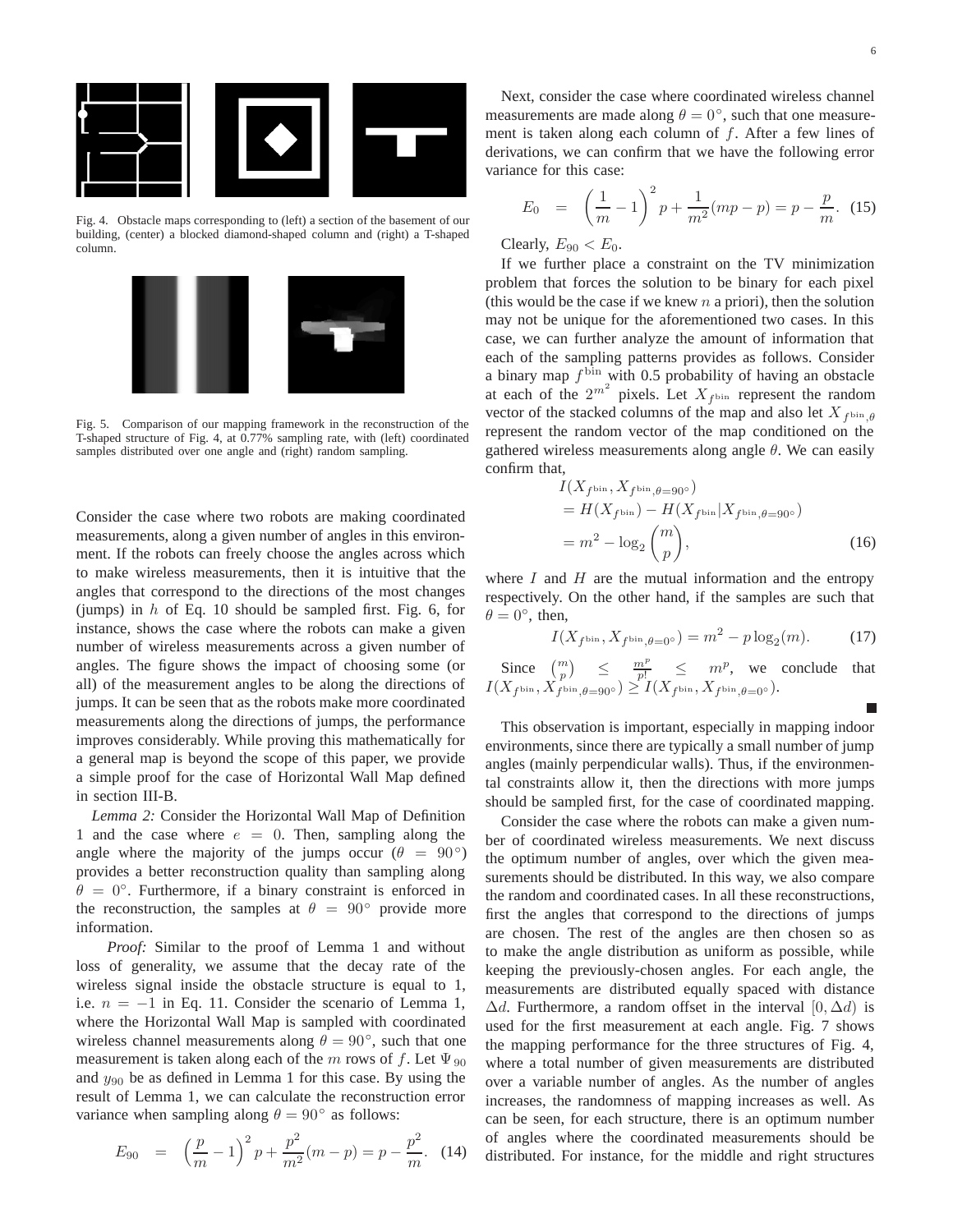

Fig. 4. Obstacle maps corresponding to (left) a section of the basement of our building, (center) a blocked diamond-shaped column and (right) a T-shaped column.



Fig. 5. Comparison of our mapping framework in the reconstruction of the T-shaped structure of Fig. 4, at 0.77% sampling rate, with (left) coordinated samples distributed over one angle and (right) random sampling.

Consider the case where two robots are making coordinated measurements, along a given number of angles in this environment. If the robots can freely choose the angles across which to make wireless measurements, then it is intuitive that the angles that correspond to the directions of the most changes (jumps) in  $h$  of Eq. 10 should be sampled first. Fig. 6, for instance, shows the case where the robots can make a given number of wireless measurements across a given number of angles. The figure shows the impact of choosing some (or all) of the measurement angles to be along the directions of jumps. It can be seen that as the robots make more coordinated measurements along the directions of jumps, the performance improves considerably. While proving this mathematically for a general map is beyond the scope of this paper, we provide a simple proof for the case of Horizontal Wall Map defined in section III-B.

*Lemma 2:* Consider the Horizontal Wall Map of Definition 1 and the case where  $e = 0$ . Then, sampling along the angle where the majority of the jumps occur ( $\theta = 90^{\circ}$ ) provides a better reconstruction quality than sampling along  $\theta = 0^\circ$ . Furthermore, if a binary constraint is enforced in the reconstruction, the samples at  $\theta = 90^\circ$  provide more information.

*Proof:* Similar to the proof of Lemma 1 and without loss of generality, we assume that the decay rate of the wireless signal inside the obstacle structure is equal to 1, i.e.  $n = -1$  in Eq. 11. Consider the scenario of Lemma 1, where the Horizontal Wall Map is sampled with coordinated wireless channel measurements along  $\theta = 90^{\circ}$ , such that one measurement is taken along each of the m rows of f. Let  $\Psi_{90}$ and  $y_{90}$  be as defined in Lemma 1 for this case. By using the result of Lemma 1, we can calculate the reconstruction error variance when sampling along  $\theta = 90^\circ$  as follows:

$$
E_{90} = \left(\frac{p}{m} - 1\right)^2 p + \frac{p^2}{m^2} (m - p) = p - \frac{p^2}{m}.
$$
 (14)

Next, consider the case where coordinated wireless channel measurements are made along  $\theta = 0^{\circ}$ , such that one measurement is taken along each column of f. After a few lines of derivations, we can confirm that we have the following error variance for this case:

$$
E_0 = \left(\frac{1}{m} - 1\right)^2 p + \frac{1}{m^2}(mp - p) = p - \frac{p}{m}.
$$
 (15)

Clearly,  $E_{90} < E_0$ .

If we further place a constraint on the TV minimization problem that forces the solution to be binary for each pixel (this would be the case if we knew  $n$  a priori), then the solution may not be unique for the aforementioned two cases. In this case, we can further analyze the amount of information that each of the sampling patterns provides as follows. Consider a binary map  $f^{\text{bin}}$  with 0.5 probability of having an obstacle at each of the  $2^{m^2}$  pixels. Let  $X_{f^{\text{bin}}}$  represent the random<br>vector of the stacked columns of the man and also let  $X_{f^{\text{bin}}}$ vector of the stacked columns of the map and also let  $X_{f^{\text{bin}}\theta}$ represent the random vector of the map conditioned on the gathered wireless measurements along angle  $\theta$ . We can easily confirm that,

$$
I(X_{f^{\text{bin}}, X_{f^{\text{bin}}, \theta=90^{\circ}}})
$$
  
=  $H(X_{f^{\text{bin}}}) - H(X_{f^{\text{bin}}}|X_{f^{\text{bin}}, \theta=90^{\circ}})$   
=  $m^{2} - \log_{2} {m \choose p}$ , (16)

where  $I$  and  $H$  are the mutual information and the entropy respectively. On the other hand, if the samples are such that  $\theta = 0^{\circ}$ , then,

$$
I(X_{f^{\text{bin}}}, X_{f^{\text{bin}}, \theta = 0^{\circ}}) = m^2 - p \log_2(m). \tag{17}
$$

Since  $\binom{m}{p} \leq \frac{m^p}{p!} \leq m^p$ , we conclude that  $I(X_{f^{\rm bin}}, X_{f^{\rm bin}, \theta=90^{\circ}}) \geq I(X_{f^{\rm bin}}, X_{f^{\rm bin}, \theta=0^{\circ}}).$ п

This observation is important, especially in mapping indoor environments, since there are typically a small number of jump angles (mainly perpendicular walls). Thus, if the environmental constraints allow it, then the directions with more jumps should be sampled first, for the case of coordinated mapping.

Consider the case where the robots can make a given number of coordinated wireless measurements. We next discuss the optimum number of angles, over which the given measurements should be distributed. In this way, we also compare the random and coordinated cases. In all these reconstructions, first the angles that correspond to the directions of jumps are chosen. The rest of the angles are then chosen so as to make the angle distribution as uniform as possible, while keeping the previously-chosen angles. For each angle, the measurements are distributed equally spaced with distance  $\Delta d$ . Furthermore, a random offset in the interval  $[0, \Delta d)$  is used for the first measurement at each angle. Fig. 7 shows the mapping performance for the three structures of Fig. 4, where a total number of given measurements are distributed over a variable number of angles. As the number of angles increases, the randomness of mapping increases as well. As can be seen, for each structure, there is an optimum number of angles where the coordinated measurements should be distributed. For instance, for the middle and right structures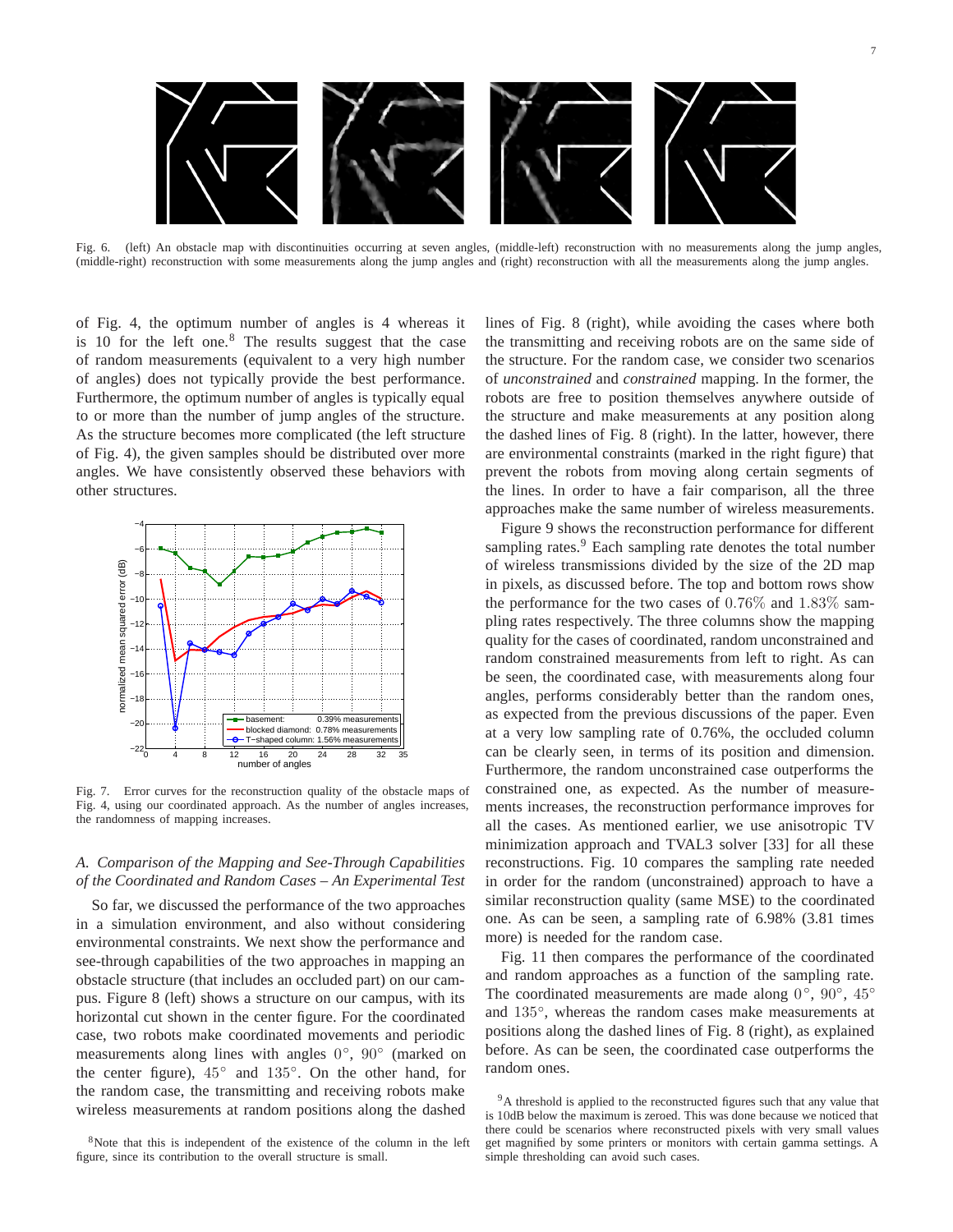

Fig. 6. (left) An obstacle map with discontinuities occurring at seven angles, (middle-left) reconstruction with no measurements along the jump angles, (middle-right) reconstruction with some measurements along the jump angles and (right) reconstruction with all the measurements along the jump angles.

of Fig. 4, the optimum number of angles is 4 whereas it is 10 for the left one.<sup>8</sup> The results suggest that the case of random measurements (equivalent to a very high number of angles) does not typically provide the best performance. Furthermore, the optimum number of angles is typically equal to or more than the number of jump angles of the structure. As the structure becomes more complicated (the left structure of Fig. 4), the given samples should be distributed over more angles. We have consistently observed these behaviors with other structures.



Fig. 7. Error curves for the reconstruction quality of the obstacle maps of Fig. 4, using our coordinated approach. As the number of angles increases, the randomness of mapping increases.

# *A. Comparison of the Mapping and See-Through Capabilities of the Coordinated and Random Cases – An Experimental Test*

So far, we discussed the performance of the two approaches in a simulation environment, and also without considering environmental constraints. We next show the performance and see-through capabilities of the two approaches in mapping an obstacle structure (that includes an occluded part) on our campus. Figure 8 (left) shows a structure on our campus, with its horizontal cut shown in the center figure. For the coordinated case, two robots make coordinated movements and periodic measurements along lines with angles 0◦, <sup>90</sup>◦ (marked on the center figure), <sup>45</sup>◦ and 135◦. On the other hand, for the random case, the transmitting and receiving robots make wireless measurements at random positions along the dashed

lines of Fig. 8 (right), while avoiding the cases where both the transmitting and receiving robots are on the same side of the structure. For the random case, we consider two scenarios of *unconstrained* and *constrained* mapping. In the former, the robots are free to position themselves anywhere outside of the structure and make measurements at any position along the dashed lines of Fig. 8 (right). In the latter, however, there are environmental constraints (marked in the right figure) that prevent the robots from moving along certain segments of the lines. In order to have a fair comparison, all the three approaches make the same number of wireless measurements.

Figure 9 shows the reconstruction performance for different sampling rates.<sup>9</sup> Each sampling rate denotes the total number of wireless transmissions divided by the size of the 2D map in pixels, as discussed before. The top and bottom rows show the performance for the two cases of  $0.76\%$  and  $1.83\%$  sampling rates respectively. The three columns show the mapping quality for the cases of coordinated, random unconstrained and random constrained measurements from left to right. As can be seen, the coordinated case, with measurements along four angles, performs considerably better than the random ones, as expected from the previous discussions of the paper. Even at a very low sampling rate of 0.76%, the occluded column can be clearly seen, in terms of its position and dimension. Furthermore, the random unconstrained case outperforms the constrained one, as expected. As the number of measurements increases, the reconstruction performance improves for all the cases. As mentioned earlier, we use anisotropic TV minimization approach and TVAL3 solver [33] for all these reconstructions. Fig. 10 compares the sampling rate needed in order for the random (unconstrained) approach to have a similar reconstruction quality (same MSE) to the coordinated one. As can be seen, a sampling rate of 6.98% (3.81 times more) is needed for the random case.

Fig. 11 then compares the performance of the coordinated and random approaches as a function of the sampling rate. The coordinated measurements are made along  $0^\circ$ ,  $90^\circ$ ,  $45^\circ$ and 135◦, whereas the random cases make measurements at positions along the dashed lines of Fig. 8 (right), as explained before. As can be seen, the coordinated case outperforms the random ones.

<sup>8</sup>Note that this is independent of the existence of the column in the left figure, since its contribution to the overall structure is small.

<sup>&</sup>lt;sup>9</sup>A threshold is applied to the reconstructed figures such that any value that is 10dB below the maximum is zeroed. This was done because we noticed that there could be scenarios where reconstructed pixels with very small values get magnified by some printers or monitors with certain gamma settings. A simple thresholding can avoid such cases.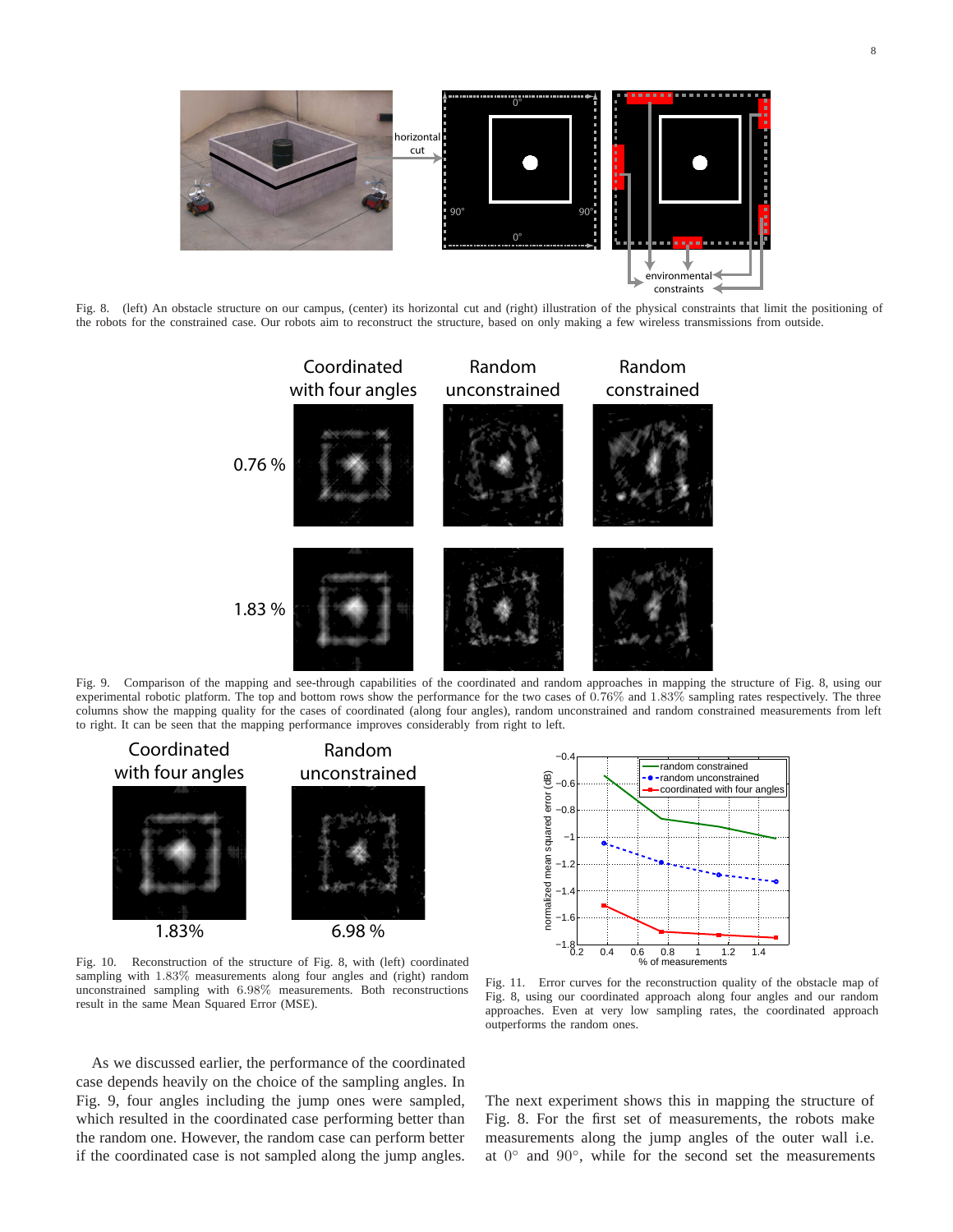

Fig. 8. (left) An obstacle structure on our campus, (center) its horizontal cut and (right) illustration of the physical constraints that limit the positioning of the robots for the constrained case. Our robots aim to reconstruct the structure, based on only making a few wireless transmissions from outside.



Fig. 9. Comparison of the mapping and see-through capabilities of the coordinated and random approaches in mapping the structure of Fig. 8, using our experimental robotic platform. The top and bottom rows show the performance for the two cases of 0.76% and 1.83% sampling rates respectively. The three columns show the mapping quality for the cases of coordinated (along four angles), random unconstrained and random constrained measurements from left to right. It can be seen that the mapping performance improves considerably from right to left.





Fig. 10. Reconstruction of the structure of Fig. 8, with (left) coordinated sampling with 1.83% measurements along four angles and (right) random unconstrained sampling with 6.98% measurements. Both reconstructions result in the same Mean Squared Error (MSE).

Fig. 11. Error curves for the reconstruction quality of the obstacle map of Fig. 8, using our coordinated approach along four angles and our random approaches. Even at very low sampling rates, the coordinated approach outperforms the random ones.

As we discussed earlier, the performance of the coordinated case depends heavily on the choice of the sampling angles. In Fig. 9, four angles including the jump ones were sampled, which resulted in the coordinated case performing better than the random one. However, the random case can perform better if the coordinated case is not sampled along the jump angles.

The next experiment shows this in mapping the structure of Fig. 8. For the first set of measurements, the robots make measurements along the jump angles of the outer wall i.e. at  $0^\circ$  and  $90^\circ$ , while for the second set the measurements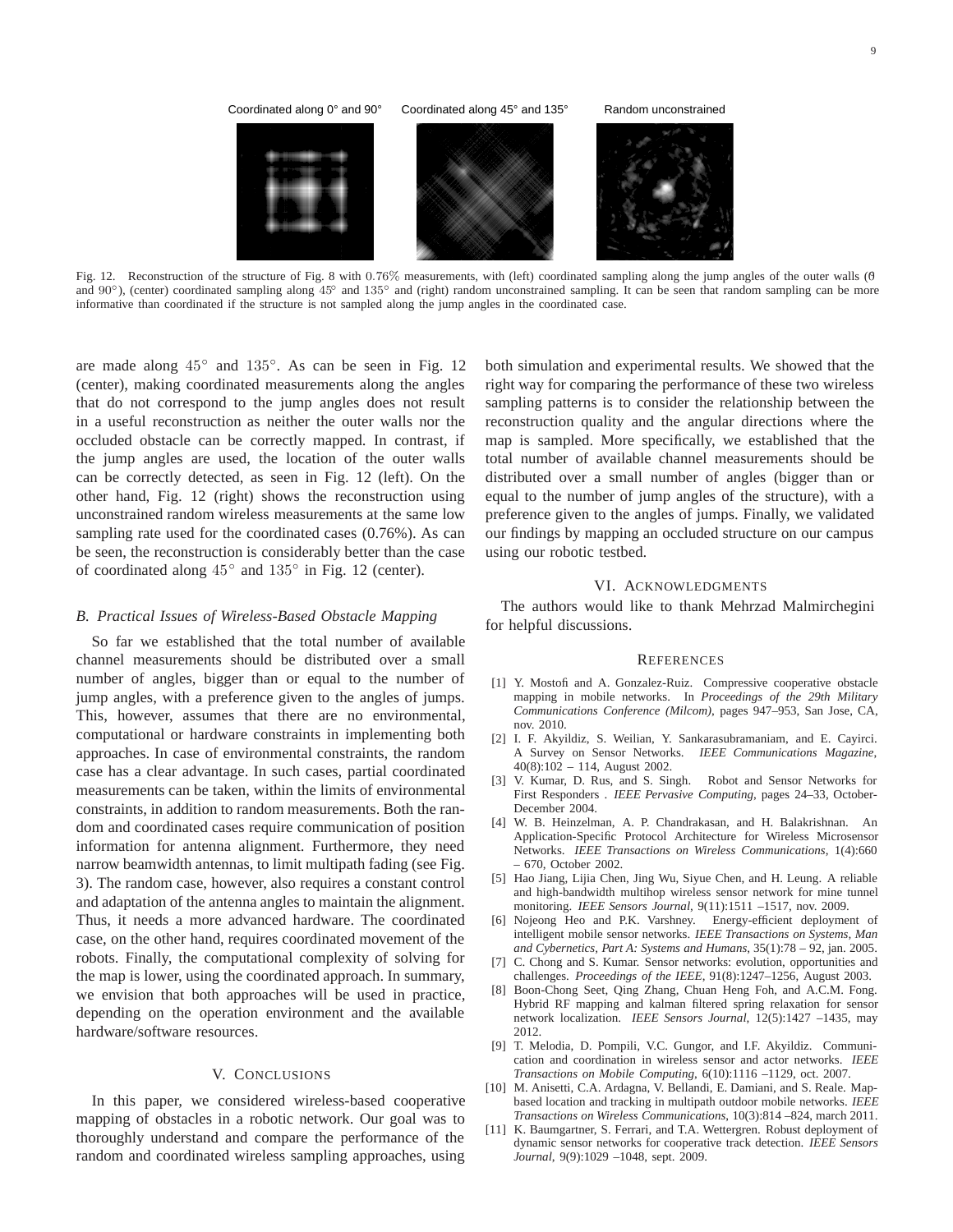

Fig. 12. Reconstruction of the structure of Fig. 8 with 0.76% measurements, with (left) coordinated sampling along the jump angles of the outer walls (0 and 90°), (center) coordinated sampling along 45° and 135° and (right) random unconstrained sampling. It can be seen that random sampling can be more informative than coordinated if the structure is not sampled along the jump angles in the coordinated case.

are made along 45◦ and 135◦. As can be seen in Fig. 12 (center), making coordinated measurements along the angles that do not correspond to the jump angles does not result in a useful reconstruction as neither the outer walls nor the occluded obstacle can be correctly mapped. In contrast, if the jump angles are used, the location of the outer walls can be correctly detected, as seen in Fig. 12 (left). On the other hand, Fig. 12 (right) shows the reconstruction using unconstrained random wireless measurements at the same low sampling rate used for the coordinated cases (0.76%). As can be seen, the reconstruction is considerably better than the case of coordinated along 45◦ and <sup>135</sup>◦ in Fig. 12 (center).

### *B. Practical Issues of Wireless-Based Obstacle Mapping*

So far we established that the total number of available channel measurements should be distributed over a small number of angles, bigger than or equal to the number of jump angles, with a preference given to the angles of jumps. This, however, assumes that there are no environmental, computational or hardware constraints in implementing both approaches. In case of environmental constraints, the random case has a clear advantage. In such cases, partial coordinated measurements can be taken, within the limits of environmental constraints, in addition to random measurements. Both the random and coordinated cases require communication of position information for antenna alignment. Furthermore, they need narrow beamwidth antennas, to limit multipath fading (see Fig. 3). The random case, however, also requires a constant control and adaptation of the antenna angles to maintain the alignment. Thus, it needs a more advanced hardware. The coordinated case, on the other hand, requires coordinated movement of the robots. Finally, the computational complexity of solving for the map is lower, using the coordinated approach. In summary, we envision that both approaches will be used in practice, depending on the operation environment and the available hardware/software resources.

#### V. CONCLUSIONS

In this paper, we considered wireless-based cooperative mapping of obstacles in a robotic network. Our goal was to thoroughly understand and compare the performance of the random and coordinated wireless sampling approaches, using

both simulation and experimental results. We showed that the right way for comparing the performance of these two wireless sampling patterns is to consider the relationship between the reconstruction quality and the angular directions where the map is sampled. More specifically, we established that the total number of available channel measurements should be distributed over a small number of angles (bigger than or equal to the number of jump angles of the structure), with a preference given to the angles of jumps. Finally, we validated our findings by mapping an occluded structure on our campus using our robotic testbed.

#### VI. ACKNOWLEDGMENTS

The authors would like to thank Mehrzad Malmirchegini for helpful discussions.

#### **REFERENCES**

- [1] Y. Mostofi and A. Gonzalez-Ruiz. Compressive cooperative obstacle mapping in mobile networks. In *Proceedings of the 29th Military Communications Conference (Milcom)*, pages 947–953, San Jose, CA, nov. 2010.
- [2] I. F. Akyildiz, S. Weilian, Y. Sankarasubramaniam, and E. Cayirci. A Survey on Sensor Networks. *IEEE Communications Magazine*, 40(8):102 – 114, August 2002.
- [3] V. Kumar, D. Rus, and S. Singh. Robot and Sensor Networks for First Responders . *IEEE Pervasive Computing*, pages 24–33, October-December 2004.
- [4] W. B. Heinzelman, A. P. Chandrakasan, and H. Balakrishnan. An Application-Specific Protocol Architecture for Wireless Microsensor Networks. *IEEE Transactions on Wireless Communications*, 1(4):660 – 670, October 2002.
- [5] Hao Jiang, Lijia Chen, Jing Wu, Siyue Chen, and H. Leung. A reliable and high-bandwidth multihop wireless sensor network for mine tunnel monitoring. *IEEE Sensors Journal*, 9(11):1511 –1517, nov. 2009.
- [6] Nojeong Heo and P.K. Varshney. Energy-efficient deployment of intelligent mobile sensor networks. *IEEE Transactions on Systems, Man and Cybernetics, Part A: Systems and Humans*, 35(1):78 – 92, jan. 2005.
- [7] C. Chong and S. Kumar. Sensor networks: evolution, opportunities and challenges. *Proceedings of the IEEE*, 91(8):1247–1256, August 2003.
- [8] Boon-Chong Seet, Qing Zhang, Chuan Heng Foh, and A.C.M. Fong. Hybrid RF mapping and kalman filtered spring relaxation for sensor network localization. *IEEE Sensors Journal*, 12(5):1427 –1435, may 2012.
- [9] T. Melodia, D. Pompili, V.C. Gungor, and I.F. Akyildiz. Communication and coordination in wireless sensor and actor networks. *IEEE Transactions on Mobile Computing*, 6(10):1116 –1129, oct. 2007.
- [10] M. Anisetti, C.A. Ardagna, V. Bellandi, E. Damiani, and S. Reale. Mapbased location and tracking in multipath outdoor mobile networks. *IEEE Transactions on Wireless Communications*, 10(3):814 –824, march 2011.
- [11] K. Baumgartner, S. Ferrari, and T.A. Wettergren. Robust deployment of dynamic sensor networks for cooperative track detection. *IEEE Sensors Journal*, 9(9):1029 –1048, sept. 2009.